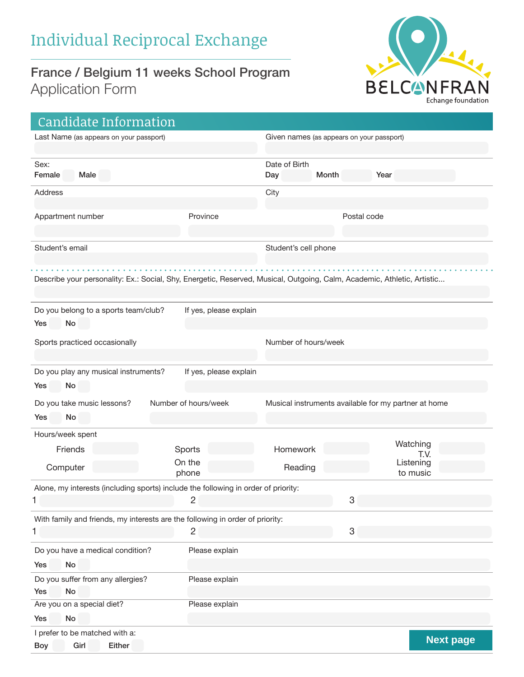## France / Belgium 11 weeks School Program Application Form



| Candidate Information                                                                                                   |                        |                      |                                           |                                                      |                  |
|-------------------------------------------------------------------------------------------------------------------------|------------------------|----------------------|-------------------------------------------|------------------------------------------------------|------------------|
| Last Name (as appears on your passport)                                                                                 |                        |                      | Given names (as appears on your passport) |                                                      |                  |
| Sex:<br>Female<br>Male                                                                                                  |                        | Date of Birth<br>Day | Month                                     | Year                                                 |                  |
| Address                                                                                                                 |                        | City                 |                                           |                                                      |                  |
| Appartment number                                                                                                       | Province               |                      | Postal code                               |                                                      |                  |
| Student's email                                                                                                         |                        | Student's cell phone |                                           |                                                      |                  |
| Describe your personality: Ex.: Social, Shy, Energetic, Reserved, Musical, Outgoing, Calm, Academic, Athletic, Artistic |                        |                      |                                           |                                                      |                  |
| Do you belong to a sports team/club?                                                                                    | If yes, please explain |                      |                                           |                                                      |                  |
| No<br>Yes                                                                                                               |                        |                      |                                           |                                                      |                  |
| Sports practiced occasionally                                                                                           |                        | Number of hours/week |                                           |                                                      |                  |
| Do you play any musical instruments?                                                                                    | If yes, please explain |                      |                                           |                                                      |                  |
| No<br>Yes                                                                                                               |                        |                      |                                           |                                                      |                  |
| Do you take music lessons?<br>No<br>Yes                                                                                 | Number of hours/week   |                      |                                           | Musical instruments available for my partner at home |                  |
| Hours/week spent                                                                                                        |                        |                      |                                           |                                                      |                  |
| Friends                                                                                                                 | Sports                 | Homework             |                                           | Watching                                             |                  |
| Computer                                                                                                                | On the<br>phone        | Reading              |                                           | T.V.<br>Listening<br>to music                        |                  |
| Alone, my interests (including sports) include the following in order of priority:                                      |                        |                      |                                           |                                                      |                  |
|                                                                                                                         | 2                      |                      | 3                                         |                                                      |                  |
| With family and friends, my interests are the following in order of priority:                                           |                        |                      |                                           |                                                      |                  |
| 1                                                                                                                       | $\overline{c}$         |                      | $\ensuremath{\mathsf{3}}$                 |                                                      |                  |
| Do you have a medical condition?                                                                                        | Please explain         |                      |                                           |                                                      |                  |
| No<br>Yes                                                                                                               |                        |                      |                                           |                                                      |                  |
| Do you suffer from any allergies?<br>No<br>Yes                                                                          | Please explain         |                      |                                           |                                                      |                  |
| Are you on a special diet?                                                                                              | Please explain         |                      |                                           |                                                      |                  |
| No<br>Yes                                                                                                               |                        |                      |                                           |                                                      |                  |
| I prefer to be matched with a:<br>Girl<br>Either<br>Boy                                                                 |                        |                      |                                           |                                                      | <b>Next page</b> |